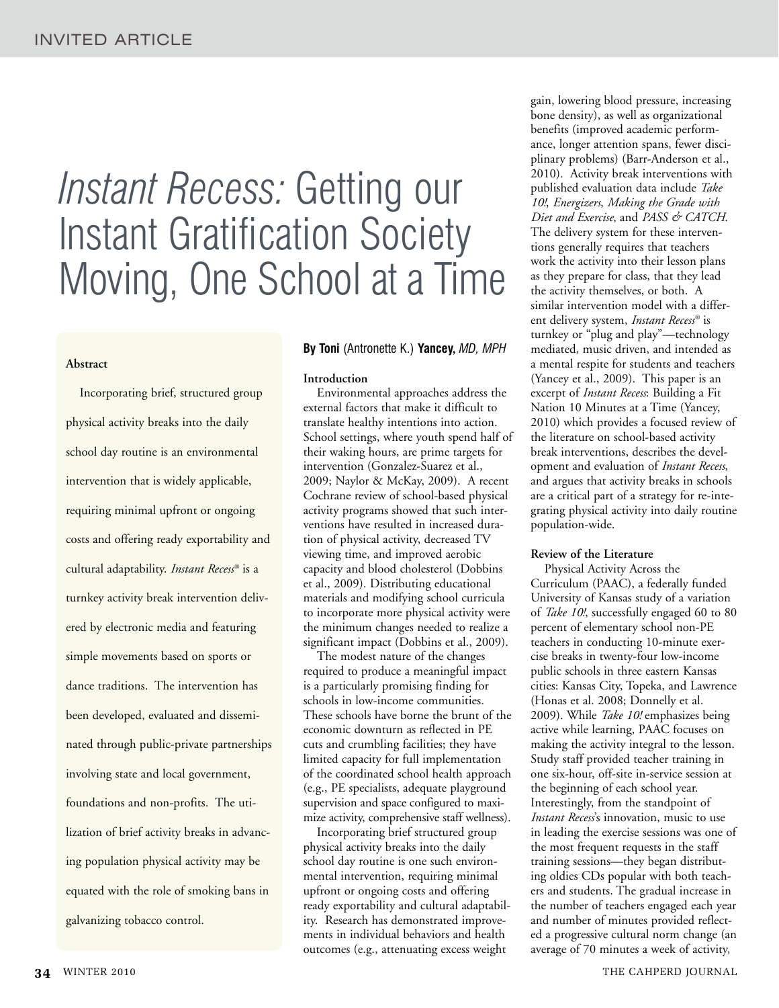# *Instant Recess:* Getting our Moving. One School at a Tir Moving, One School at a Time

# **Abstract**

Incorporating brief, structured group physical activity breaks into the daily school day routine is an environmental intervention that is widely applicable, requiring minimal upfront or ongoing costs and offering ready exportability and cultural adaptability. *Instant Recess®* is a turnkey activity break intervention delivered by electronic media and featuring simple movements based on sports or dance traditions. The intervention has been developed, evaluated and disseminated through public-private partnerships involving state and local government, foundations and non-profits. The utilization of brief activity breaks in advancing population physical activity may be equated with the role of smoking bans in galvanizing tobacco control.

# **By Toni** (Antronette K.) **Yancey,** *MD, MPH*

# **Introduction**

Environmental approaches address the external factors that make it difficult to translate healthy intentions into action. School settings, where youth spend half of their waking hours, are prime targets for intervention (Gonzalez-Suarez et al., 2009; Naylor & McKay, 2009). A recent Cochrane review of school-based physical activity programs showed that such interventions have resulted in increased duration of physical activity, decreased TV viewing time, and improved aerobic capacity and blood cholesterol (Dobbins et al., 2009). Distributing educational materials and modifying school curricula to incorporate more physical activity were the minimum changes needed to realize a significant impact (Dobbins et al., 2009).

The modest nature of the changes required to produce a meaningful impact is a particularly promising finding for schools in low-income communities. These schools have borne the brunt of the economic downturn as reflected in PE cuts and crumbling facilities; they have limited capacity for full implementation of the coordinated school health approach (e.g., PE specialists, adequate playground supervision and space configured to maximize activity, comprehensive staff wellness).

Incorporating brief structured group physical activity breaks into the daily school day routine is one such environmental intervention, requiring minimal upfront or ongoing costs and offering ready exportability and cultural adaptability. Research has demonstrated improvements in individual behaviors and health outcomes (e.g., attenuating excess weight

gain, lowering blood pressure, increasing bone density), as well as organizational benefits (improved academic performance, longer attention spans, fewer disciplinary problems) (Barr-Anderson et al., 2010). Activity break interventions with published evaluation data include *Take 10!*, *Energizers*, *Making the Grade with Diet and Exercise*, and *PASS & CATCH*. The delivery system for these interventions generally requires that teachers work the activity into their lesson plans as they prepare for class, that they lead the activity themselves, or both. A similar intervention model with a different delivery system, *Instant Recess®* is turnkey or "plug and play"—technology mediated, music driven, and intended as a mental respite for students and teachers (Yancey et al., 2009). This paper is an excerpt of *Instant Recess*: Building a Fit Nation 10 Minutes at a Time (Yancey, 2010) which provides a focused review of the literature on school-based activity break interventions, describes the development and evaluation of *Instant Recess*, and argues that activity breaks in schools are a critical part of a strategy for re-integrating physical activity into daily routine population-wide.

# **Review of the Literature**

Physical Activity Across the Curriculum (PAAC), a federally funded University of Kansas study of a variation of *Take 10!*, successfully engaged 60 to 80 percent of elementary school non-PE teachers in conducting 10-minute exercise breaks in twenty-four low-income public schools in three eastern Kansas cities: Kansas City, Topeka, and Lawrence (Honas et al. 2008; Donnelly et al. 2009). While *Take 10!* emphasizes being active while learning, PAAC focuses on making the activity integral to the lesson. Study staff provided teacher training in one six-hour, off-site in-service session at the beginning of each school year. Interestingly, from the standpoint of *Instant Recess*'s innovation, music to use in leading the exercise sessions was one of the most frequent requests in the staff training sessions—they began distributing oldies CDs popular with both teachers and students. The gradual increase in the number of teachers engaged each year and number of minutes provided reflected a progressive cultural norm change (an average of 70 minutes a week of activity,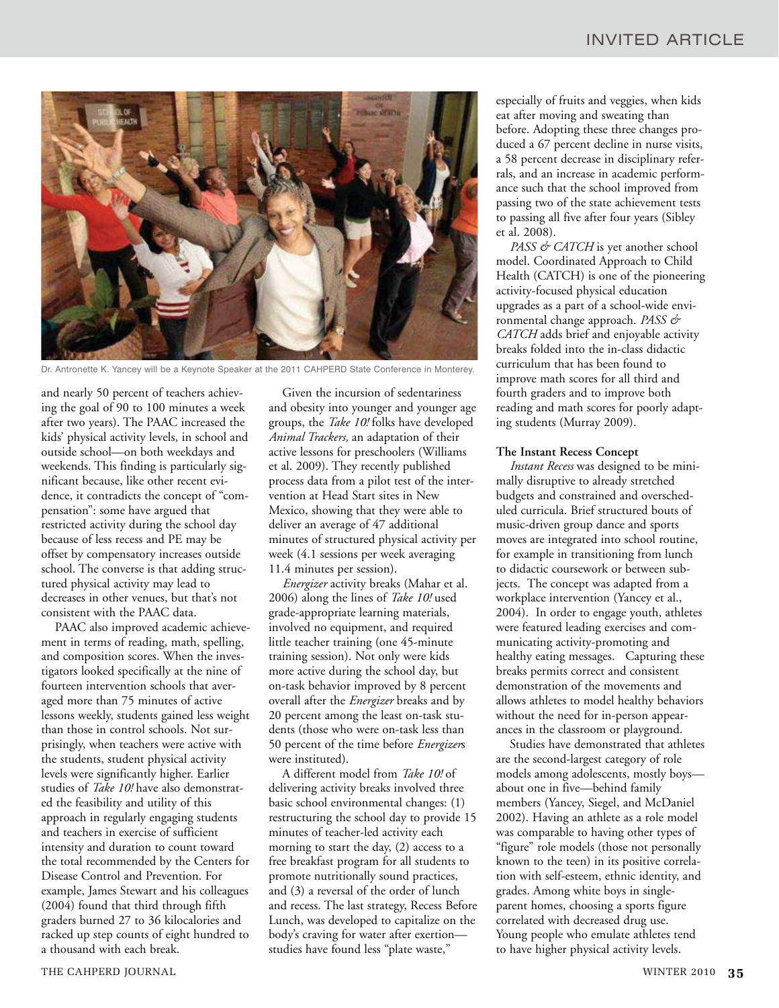

Dr. Antronette K. Yancey will be a Keynote Speaker at the 2011 CAHPERD State Conference in Monterey.

and nearly 50 percent of teachers achieving the goal of 90 to 100 minutes a week after two years). The PAAC increased the kids' physical activity levels, in school and outside school—on both weekdays and weekends. This finding is particularly significant because, like other recent evidence, it contradicts the concept of "compensation": some have argued that restricted activity during the school day because of less recess and PE may be offset by compensatory increases outside school. The converse is that adding structured physical activity may lead to decreases in other venues, but that's not consistent with the PAAC data.

PAAC also improved academic achievement in terms of reading, math, spelling, and composition scores. When the investigators looked specifically at the nine of fourteen intervention schools that averaged more than 75 minutes of active lessons weekly, students gained less weight than those in control schools. Not surprisingly, when teachers were active with the students, student physical activity levels were significantly higher. Earlier studies of *Take 10!* have also demonstrated the feasibility and utility of this approach in regularly engaging students and teachers in exercise of sufficient intensity and duration to count toward the total recommended by the Centers for Disease Control and Prevention. For example, James Stewart and his colleagues (2004) found that third through fifth graders burned 27 to 36 kilocalories and racked up step counts of eight hundred to a thousand with each break.

Given the incursion of sedentariness and obesity into younger and younger age groups, the *Take 10!* folks have developed *Animal Trackers,* an adaptation of their active lessons for preschoolers (Williams et al. 2009). They recently published process data from a pilot test of the intervention at Head Start sites in New Mexico, showing that they were able to deliver an average of 47 additional minutes of structured physical activity per week (4.1 sessions per week averaging 11.4 minutes per session).

*Energizer* activity breaks (Mahar et al. 2006) along the lines of *Take 10!* used grade-appropriate learning materials, involved no equipment, and required little teacher training (one 45-minute training session). Not only were kids more active during the school day, but on-task behavior improved by 8 percent overall after the *Energizer* breaks and by 20 percent among the least on-task students (those who were on-task less than 50 percent of the time before *Energizer*s were instituted).

A different model from *Take 10!* of delivering activity breaks involved three basic school environmental changes: (1) restructuring the school day to provide 15 minutes of teacher-led activity each morning to start the day, (2) access to a free breakfast program for all students to promote nutritionally sound practices, and (3) a reversal of the order of lunch and recess. The last strategy, Recess Before Lunch, was developed to capitalize on the body's craving for water after exertion studies have found less "plate waste,"

especially of fruits and veggies, when kids eat after moving and sweating than before. Adopting these three changes produced a 67 percent decline in nurse visits, a 58 percent decrease in disciplinary referrals, and an increase in academic performance such that the school improved from passing two of the state achievement tests to passing all five after four years (Sibley et al. 2008).

PASS & CATCH is yet another school model. Coordinated Approach to Child Health (CATCH) is one of the pioneering activity-focused physical education upgrades as a part of a school-wide environmental change approach. *PASS & CATCH* adds brief and enjoyable activity breaks folded into the in-class didactic curriculum that has been found to improve math scores for all third and fourth graders and to improve both reading and math scores for poorly adapting students (Murray 2009).

# **The Instant Recess Concept**

*Instant Recess* was designed to be minimally disruptive to already stretched budgets and constrained and overscheduled curricula. Brief structured bouts of music-driven group dance and sports moves are integrated into school routine, for example in transitioning from lunch to didactic coursework or between subjects. The concept was adapted from a workplace intervention (Yancey et al., 2004). In order to engage youth, athletes were featured leading exercises and communicating activity-promoting and healthy eating messages. Capturing these breaks permits correct and consistent demonstration of the movements and allows athletes to model healthy behaviors without the need for in-person appearances in the classroom or playground.

Studies have demonstrated that athletes are the second-largest category of role models among adolescents, mostly boys about one in five—behind family members (Yancey, Siegel, and McDaniel 2002). Having an athlete as a role model was comparable to having other types of "figure" role models (those not personally known to the teen) in its positive correlation with self-esteem, ethnic identity, and grades. Among white boys in singleparent homes, choosing a sports figure correlated with decreased drug use. Young people who emulate athletes tend to have higher physical activity levels.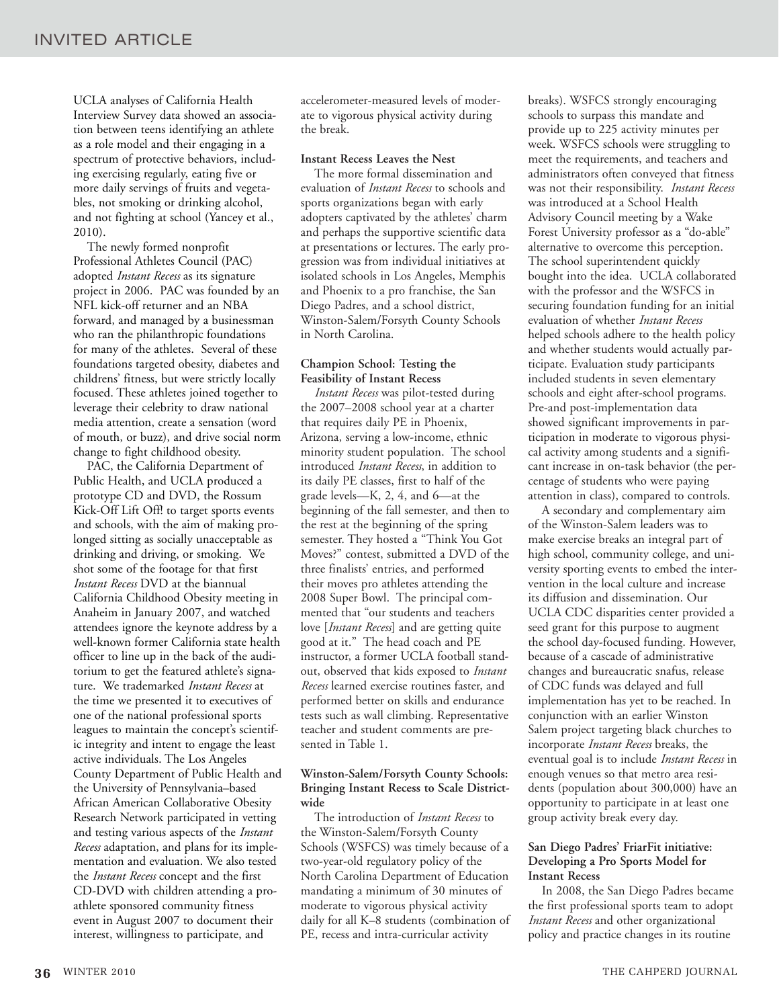UCLA analyses of California Health Interview Survey data showed an association between teens identifying an athlete as a role model and their engaging in a spectrum of protective behaviors, including exercising regularly, eating five or more daily servings of fruits and vegetables, not smoking or drinking alcohol, and not fighting at school (Yancey et al., 2010).

The newly formed nonprofit Professional Athletes Council (PAC) adopted *Instant Recess* as its signature project in 2006. PAC was founded by an NFL kick-off returner and an NBA forward, and managed by a businessman who ran the philanthropic foundations for many of the athletes. Several of these foundations targeted obesity, diabetes and childrens' fitness, but were strictly locally focused. These athletes joined together to leverage their celebrity to draw national media attention, create a sensation (word of mouth, or buzz), and drive social norm change to fight childhood obesity.

PAC, the California Department of Public Health, and UCLA produced a prototype CD and DVD, the Rossum Kick-Off Lift Off! to target sports events and schools, with the aim of making prolonged sitting as socially unacceptable as drinking and driving, or smoking. We shot some of the footage for that first *Instant Recess* DVD at the biannual California Childhood Obesity meeting in Anaheim in January 2007, and watched attendees ignore the keynote address by a well-known former California state health officer to line up in the back of the auditorium to get the featured athlete's signature. We trademarked *Instant Recess* at the time we presented it to executives of one of the national professional sports leagues to maintain the concept's scientific integrity and intent to engage the least active individuals. The Los Angeles County Department of Public Health and the University of Pennsylvania–based African American Collaborative Obesity Research Network participated in vetting and testing various aspects of the *Instant Recess* adaptation, and plans for its implementation and evaluation. We also tested the *Instant Recess* concept and the first CD-DVD with children attending a proathlete sponsored community fitness event in August 2007 to document their interest, willingness to participate, and

accelerometer-measured levels of moderate to vigorous physical activity during the break.

# **Instant Recess Leaves the Nest**

The more formal dissemination and evaluation of *Instant Recess* to schools and sports organizations began with early adopters captivated by the athletes' charm and perhaps the supportive scientific data at presentations or lectures. The early progression was from individual initiatives at isolated schools in Los Angeles, Memphis and Phoenix to a pro franchise, the San Diego Padres, and a school district, Winston-Salem/Forsyth County Schools in North Carolina.

# **Champion School: Testing the Feasibility of Instant Recess**

*Instant Recess* was pilot-tested during the 2007–2008 school year at a charter that requires daily PE in Phoenix, Arizona, serving a low-income, ethnic minority student population. The school introduced *Instant Recess*, in addition to its daily PE classes, first to half of the grade levels—K, 2, 4, and 6—at the beginning of the fall semester, and then to the rest at the beginning of the spring semester. They hosted a "Think You Got Moves?" contest, submitted a DVD of the three finalists' entries, and performed their moves pro athletes attending the 2008 Super Bowl. The principal commented that "our students and teachers love [*Instant Recess*] and are getting quite good at it." The head coach and PE instructor, a former UCLA football standout, observed that kids exposed to *Instant Recess* learned exercise routines faster, and performed better on skills and endurance tests such as wall climbing. Representative teacher and student comments are presented in Table 1.

# **Winston-Salem/Forsyth County Schools: Bringing Instant Recess to Scale Districtwide**

The introduction of *Instant Recess* to the Winston-Salem/Forsyth County Schools (WSFCS) was timely because of a two-year-old regulatory policy of the North Carolina Department of Education mandating a minimum of 30 minutes of moderate to vigorous physical activity daily for all K–8 students (combination of PE, recess and intra-curricular activity

breaks). WSFCS strongly encouraging schools to surpass this mandate and provide up to 225 activity minutes per week. WSFCS schools were struggling to meet the requirements, and teachers and administrators often conveyed that fitness was not their responsibility. *Instant Recess* was introduced at a School Health Advisory Council meeting by a Wake Forest University professor as a "do-able" alternative to overcome this perception. The school superintendent quickly bought into the idea. UCLA collaborated with the professor and the WSFCS in securing foundation funding for an initial evaluation of whether *Instant Recess* helped schools adhere to the health policy and whether students would actually participate. Evaluation study participants included students in seven elementary schools and eight after-school programs. Pre-and post-implementation data showed significant improvements in participation in moderate to vigorous physical activity among students and a significant increase in on-task behavior (the percentage of students who were paying attention in class), compared to controls.

A secondary and complementary aim of the Winston-Salem leaders was to make exercise breaks an integral part of high school, community college, and university sporting events to embed the intervention in the local culture and increase its diffusion and dissemination. Our UCLA CDC disparities center provided a seed grant for this purpose to augment the school day-focused funding. However, because of a cascade of administrative changes and bureaucratic snafus, release of CDC funds was delayed and full implementation has yet to be reached. In conjunction with an earlier Winston Salem project targeting black churches to incorporate *Instant Recess* breaks, the eventual goal is to include *Instant Recess* in enough venues so that metro area residents (population about 300,000) have an opportunity to participate in at least one group activity break every day.

# **San Diego Padres' FriarFit initiative: Developing a Pro Sports Model for Instant Recess**

In 2008, the San Diego Padres became the first professional sports team to adopt *Instant Recess* and other organizational policy and practice changes in its routine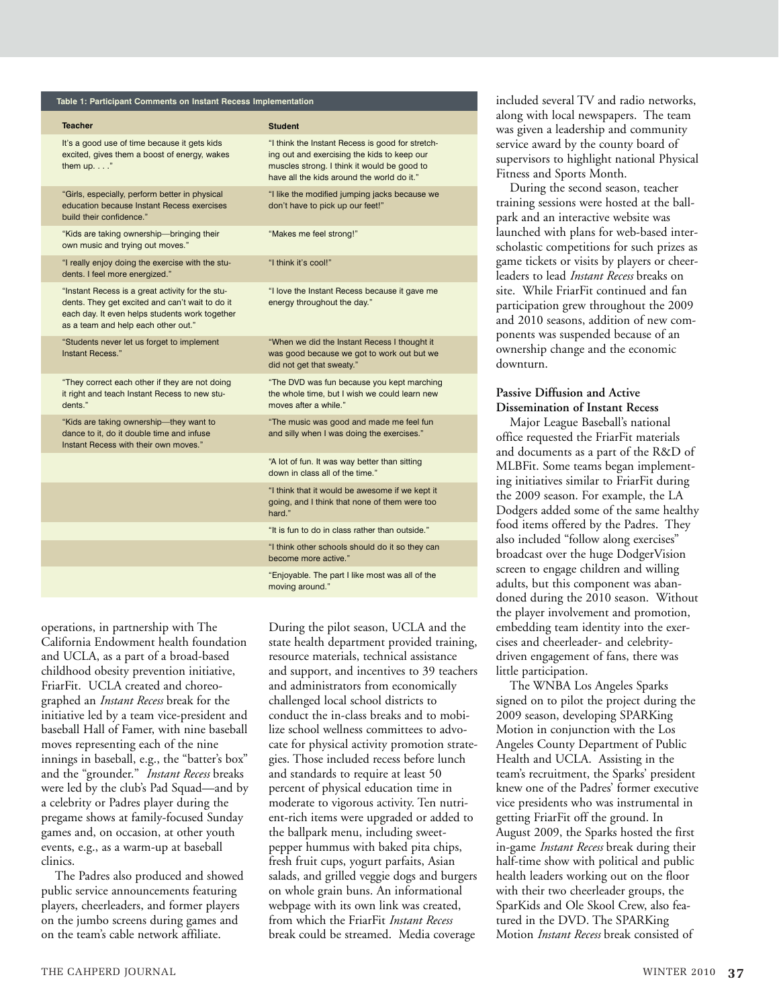#### **Table 1: Participant Comments on Instant Recess Implementation**

| <b>Teacher</b>                                                                                                                                                                               | <b>Student</b>                                                                                                                                                                               |
|----------------------------------------------------------------------------------------------------------------------------------------------------------------------------------------------|----------------------------------------------------------------------------------------------------------------------------------------------------------------------------------------------|
| It's a good use of time because it gets kids<br>excited, gives them a boost of energy, wakes<br>them $up.$ "                                                                                 | "I think the Instant Recess is good for stretch-<br>ing out and exercising the kids to keep our<br>muscles strong. I think it would be good to<br>have all the kids around the world do it." |
| "Girls, especially, perform better in physical<br>education because Instant Recess exercises<br>build their confidence."                                                                     | "I like the modified jumping jacks because we<br>don't have to pick up our feet!"                                                                                                            |
| "Kids are taking ownership-bringing their<br>own music and trying out moves."                                                                                                                | "Makes me feel strong!"                                                                                                                                                                      |
| "I really enjoy doing the exercise with the stu-<br>dents. I feel more energized."                                                                                                           | "I think it's cool!"                                                                                                                                                                         |
| "Instant Recess is a great activity for the stu-<br>dents. They get excited and can't wait to do it<br>each day. It even helps students work together<br>as a team and help each other out." | "I love the Instant Recess because it gave me<br>energy throughout the day."                                                                                                                 |
| "Students never let us forget to implement<br>Instant Recess."                                                                                                                               | "When we did the Instant Recess I thought it<br>was good because we got to work out but we<br>did not get that sweaty."                                                                      |
| "They correct each other if they are not doing<br>it right and teach Instant Recess to new stu-<br>dents."                                                                                   | "The DVD was fun because you kept marching<br>the whole time, but I wish we could learn new<br>moves after a while."                                                                         |
| "Kids are taking ownership-they want to<br>dance to it, do it double time and infuse<br>Instant Recess with their own moves."                                                                | "The music was good and made me feel fun<br>and silly when I was doing the exercises."                                                                                                       |
|                                                                                                                                                                                              | "A lot of fun. It was way better than sitting<br>down in class all of the time."                                                                                                             |
|                                                                                                                                                                                              | "I think that it would be awesome if we kept it<br>going, and I think that none of them were too<br>hard."                                                                                   |
|                                                                                                                                                                                              | "It is fun to do in class rather than outside."                                                                                                                                              |
|                                                                                                                                                                                              | "I think other schools should do it so they can<br>become more active."                                                                                                                      |
|                                                                                                                                                                                              | "Enjoyable. The part I like most was all of the<br>moving around."                                                                                                                           |

operations, in partnership with The California Endowment health foundation and UCLA, as a part of a broad-based childhood obesity prevention initiative, FriarFit. UCLA created and choreographed an *Instant Recess* break for the initiative led by a team vice-president and baseball Hall of Famer, with nine baseball moves representing each of the nine innings in baseball, e.g., the "batter's box" and the "grounder." *Instant Recess* breaks were led by the club's Pad Squad—and by a celebrity or Padres player during the pregame shows at family-focused Sunday games and, on occasion, at other youth events, e.g., as a warm-up at baseball clinics.

The Padres also produced and showed public service announcements featuring players, cheerleaders, and former players on the jumbo screens during games and on the team's cable network affiliate.

During the pilot season, UCLA and the state health department provided training, resource materials, technical assistance and support, and incentives to 39 teachers and administrators from economically challenged local school districts to conduct the in-class breaks and to mobilize school wellness committees to advocate for physical activity promotion strategies. Those included recess before lunch and standards to require at least 50 percent of physical education time in moderate to vigorous activity. Ten nutrient-rich items were upgraded or added to the ballpark menu, including sweetpepper hummus with baked pita chips, fresh fruit cups, yogurt parfaits, Asian salads, and grilled veggie dogs and burgers on whole grain buns. An informational webpage with its own link was created, from which the FriarFit *Instant Recess* break could be streamed. Media coverage

included several TV and radio networks, along with local newspapers. The team was given a leadership and community service award by the county board of supervisors to highlight national Physical Fitness and Sports Month.

During the second season, teacher training sessions were hosted at the ballpark and an interactive website was launched with plans for web-based interscholastic competitions for such prizes as game tickets or visits by players or cheerleaders to lead *Instant Recess* breaks on site. While FriarFit continued and fan participation grew throughout the 2009 and 2010 seasons, addition of new components was suspended because of an ownership change and the economic downturn.

# **Passive Diffusion and Active Dissemination of Instant Recess**

Major League Baseball's national office requested the FriarFit materials and documents as a part of the R&D of MLBFit. Some teams began implementing initiatives similar to FriarFit during the 2009 season. For example, the LA Dodgers added some of the same healthy food items offered by the Padres. They also included "follow along exercises" broadcast over the huge DodgerVision screen to engage children and willing adults, but this component was abandoned during the 2010 season. Without the player involvement and promotion, embedding team identity into the exercises and cheerleader- and celebritydriven engagement of fans, there was little participation.

The WNBA Los Angeles Sparks signed on to pilot the project during the 2009 season, developing SPARKing Motion in conjunction with the Los Angeles County Department of Public Health and UCLA. Assisting in the team's recruitment, the Sparks' president knew one of the Padres' former executive vice presidents who was instrumental in getting FriarFit off the ground. In August 2009, the Sparks hosted the first in-game *Instant Recess* break during their half-time show with political and public health leaders working out on the floor with their two cheerleader groups, the SparKids and Ole Skool Crew, also featured in the DVD. The SPARKing Motion *Instant Recess* break consisted of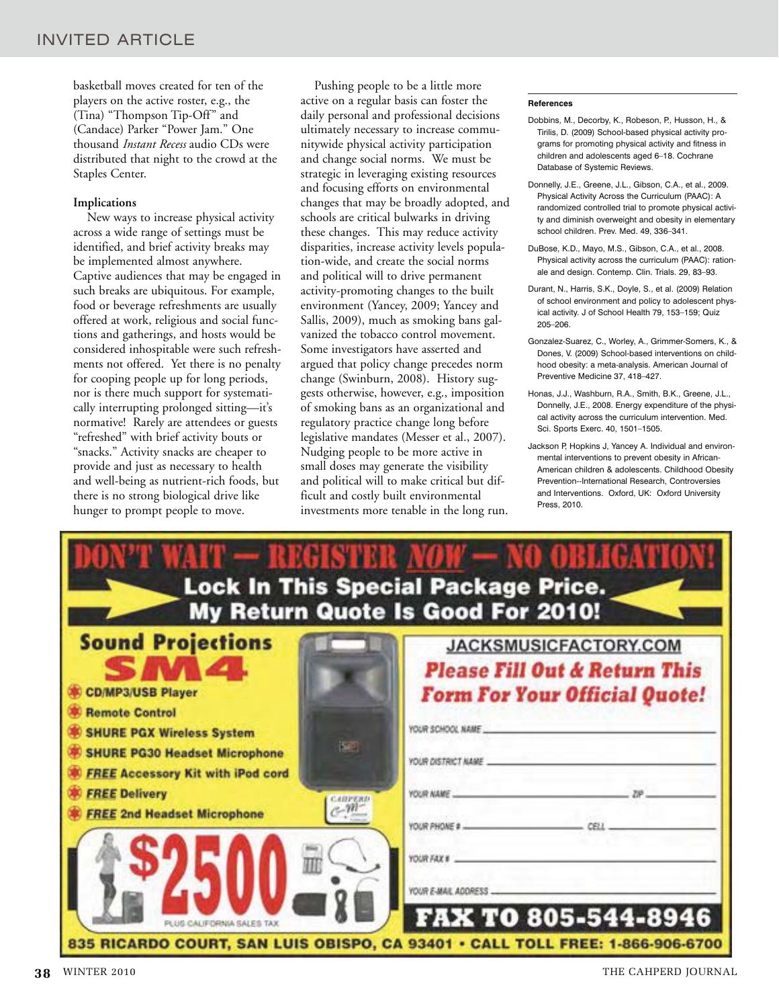basketball moves created for ten of the players on the active roster, e.g., the (Tina) "Thompson Tip-Off" and (Candace) Parker "Power Jam." One thousand *Instant Recess* audio CDs were distributed that night to the crowd at the Staples Center.

# **Implications**

New ways to increase physical activity across a wide range of settings must be identified, and brief activity breaks may be implemented almost anywhere. Captive audiences that may be engaged in such breaks are ubiquitous. For example, food or beverage refreshments are usually offered at work, religious and social functions and gatherings, and hosts would be considered inhospitable were such refreshments not offered. Yet there is no penalty for cooping people up for long periods, nor is there much support for systematically interrupting prolonged sitting—it's normative! Rarely are attendees or guests "refreshed" with brief activity bouts or "snacks." Activity snacks are cheaper to provide and just as necessary to health and well-being as nutrient-rich foods, but there is no strong biological drive like hunger to prompt people to move.

Pushing people to be a little more active on a regular basis can foster the daily personal and professional decisions ultimately necessary to increase communitywide physical activity participation and change social norms. We must be strategic in leveraging existing resources and focusing efforts on environmental changes that may be broadly adopted, and schools are critical bulwarks in driving these changes. This may reduce activity disparities, increase activity levels population-wide, and create the social norms and political will to drive permanent activity-promoting changes to the built environment (Yancey, 2009; Yancey and Sallis, 2009), much as smoking bans galvanized the tobacco control movement. Some investigators have asserted and argued that policy change precedes norm change (Swinburn, 2008). History suggests otherwise, however, e.g., imposition of smoking bans as an organizational and regulatory practice change long before legislative mandates (Messer et al., 2007). Nudging people to be more active in small doses may generate the visibility and political will to make critical but difficult and costly built environmental investments more tenable in the long run.

#### **References**

- Dobbins, M., Decorby, K., Robeson, P., Husson, H., & Tirilis, D. (2009) School-based physical activity programs for promoting physical activity and fitness in children and adolescents aged 6–18. Cochrane Database of Systemic Reviews.
- Donnelly, J.E., Greene, J.L., Gibson, C.A., et al., 2009. Physical Activity Across the Curriculum (PAAC): A randomized controlled trial to promote physical activity and diminish overweight and obesity in elementary school children. Prev. Med. 49, 336–341.
- DuBose, K.D., Mayo, M.S., Gibson, C.A., et al., 2008. Physical activity across the curriculum (PAAC): rationale and design. Contemp. Clin. Trials. 29, 83–93.
- Durant, N., Harris, S.K., Doyle, S., et al. (2009) Relation of school environment and policy to adolescent physical activity. J of School Health 79, 153–159; Quiz 205–206.
- Gonzalez-Suarez, C., Worley, A., Grimmer-Somers, K., & Dones, V. (2009) School-based interventions on childhood obesity: a meta-analysis. American Journal of Preventive Medicine 37, 418–427.
- Honas, J.J., Washburn, R.A., Smith, B.K., Greene, J.L., Donnelly, J.E., 2008. Energy expenditure of the physical activity across the curriculum intervention. Med. Sci. Sports Exerc. 40, 1501–1505.
- Jackson P, Hopkins J, Yancey A. Individual and environmental interventions to prevent obesity in African-American children & adolescents. Childhood Obesity Prevention--International Research, Controversies and Interventions. Oxford, UK: Oxford University Press, 2010.

| <b>Lock In This Special Package Price.</b><br>My Return Quote Is Good For 2010!                                   |                                                                                                             |  |
|-------------------------------------------------------------------------------------------------------------------|-------------------------------------------------------------------------------------------------------------|--|
| <b>Sound Projections</b><br><b>CD/MP3/USB Player</b>                                                              | JACKSMUSICFACTORY.COM<br><b>Please Fill Out &amp; Return This</b><br><b>Form For Your Official Quote!</b>   |  |
| <b>Remote Control</b><br><b>SHURE PGX Wireless System</b><br>图明<br><b>SHURE PG30 Headset Microphone</b>           | YOUR SCHOOL NAME<br>YOUR DISTRICT NAME                                                                      |  |
| <b>FREE Accessory Kit with iPod cord</b><br><b>FREE Delivery</b><br>1111°CR<br><b>FREE 2nd Headset Microphone</b> | YOUR NAME<br>YOUR PHONE #                                                                                   |  |
|                                                                                                                   | YOUR FAX #<br>YOUR E-MAIL ADDRESS                                                                           |  |
| PLUS CALIFORNIA SALES TAX                                                                                         | <b>FAX TO 805-544-8946</b><br>835 RICARDO COURT, SAN LUIS OBISPO, CA 93401 • CALL TOLL FREE: 1-866-906-6700 |  |